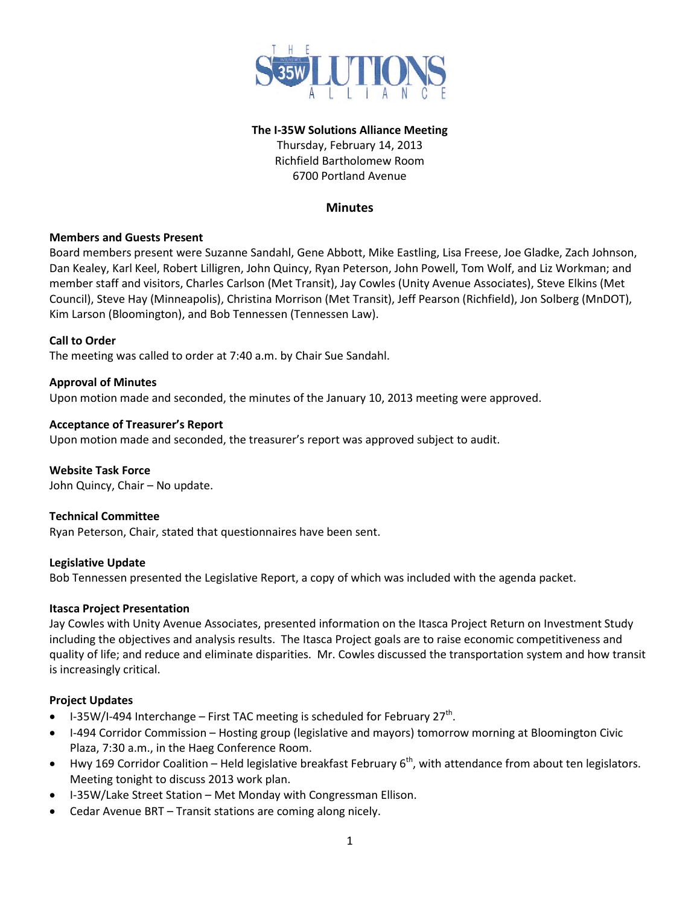

## **The I-35W Solutions Alliance Meeting**

Thursday, February 14, 2013 Richfield Bartholomew Room 6700 Portland Avenue

# **Minutes**

#### **Members and Guests Present**

Board members present were Suzanne Sandahl, Gene Abbott, Mike Eastling, Lisa Freese, Joe Gladke, Zach Johnson, Dan Kealey, Karl Keel, Robert Lilligren, John Quincy, Ryan Peterson, John Powell, Tom Wolf, and Liz Workman; and member staff and visitors, Charles Carlson (Met Transit), Jay Cowles (Unity Avenue Associates), Steve Elkins (Met Council), Steve Hay (Minneapolis), Christina Morrison (Met Transit), Jeff Pearson (Richfield), Jon Solberg (MnDOT), Kim Larson (Bloomington), and Bob Tennessen (Tennessen Law).

#### **Call to Order**

The meeting was called to order at 7:40 a.m. by Chair Sue Sandahl.

## **Approval of Minutes**

Upon motion made and seconded, the minutes of the January 10, 2013 meeting were approved.

#### **Acceptance of Treasurer's Report**

Upon motion made and seconded, the treasurer's report was approved subject to audit.

**Website Task Force** 

John Quincy, Chair – No update.

# **Technical Committee**

Ryan Peterson, Chair, stated that questionnaires have been sent.

## **Legislative Update**

Bob Tennessen presented the Legislative Report, a copy of which was included with the agenda packet.

## **Itasca Project Presentation**

Jay Cowles with Unity Avenue Associates, presented information on the Itasca Project Return on Investment Study including the objectives and analysis results. The Itasca Project goals are to raise economic competitiveness and quality of life; and reduce and eliminate disparities. Mr. Cowles discussed the transportation system and how transit is increasingly critical.

## **Project Updates**

- I-35W/I-494 Interchange First TAC meeting is scheduled for February 27<sup>th</sup>.
- I-494 Corridor Commission Hosting group (legislative and mayors) tomorrow morning at Bloomington Civic Plaza, 7:30 a.m., in the Haeg Conference Room.
- Hwy 169 Corridor Coalition Held legislative breakfast February  $6<sup>th</sup>$ , with attendance from about ten legislators. Meeting tonight to discuss 2013 work plan.
- I-35W/Lake Street Station Met Monday with Congressman Ellison.
- Cedar Avenue BRT Transit stations are coming along nicely.